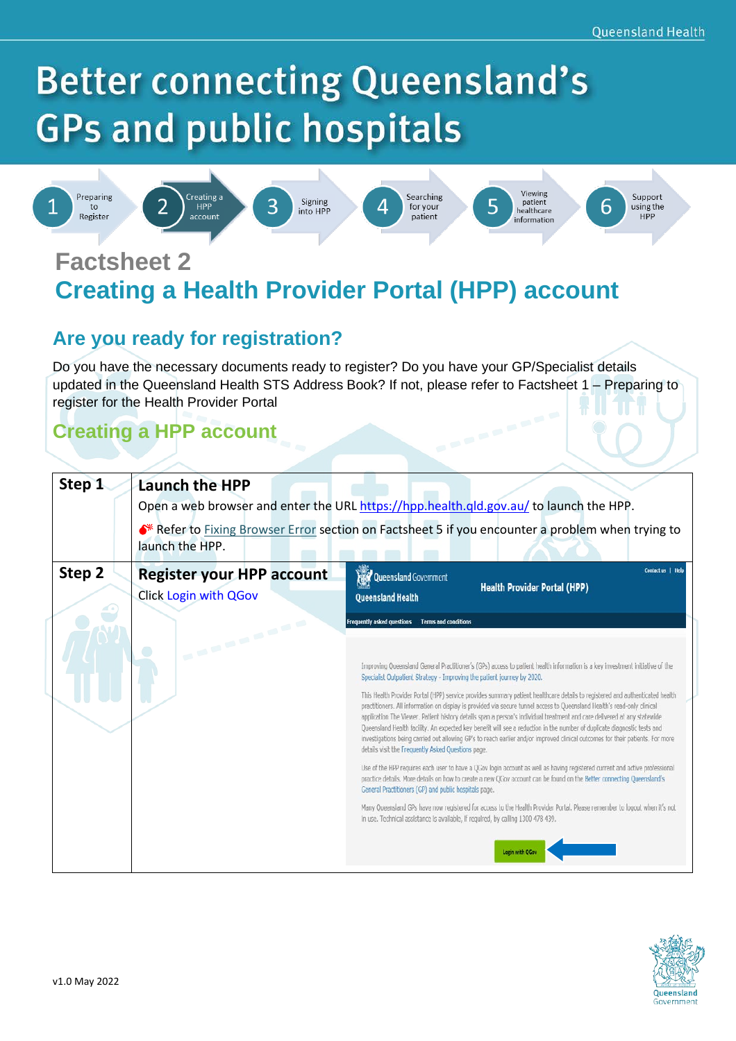# **Better connecting Queensland's GPs and public hospitals**

Signing

into HPP



Preparing

 $t_{0}$ 

Register



2









Viewing patient 5 healthcare information



6

**Factsheet 2 Creating a Health Provider Portal (HPP) account**

### **Are you ready for registration?**

Do you have the necessary documents ready to register? Do you have your GP/Specialist details updated in the Queensland Health STS Address Book? If not, please refer to Factsheet 1 – Preparing to register for the Health Provider Portal

## **Creating a HPP account**

| Step 1 | Launch the HPP<br>Open a web browser and enter the URL https://hpp.health.qld.gov.au/ to launch the HPP.            |                                                                                                                                                                                                                                                                                                                                                                                                                                                                                                                                                                                                                                                                                                                                                                                                                                                                                                                                                                                                                                                                                                                                                                                                                                                                                                                                                                                                                                                                                                                                       |  |  |
|--------|---------------------------------------------------------------------------------------------------------------------|---------------------------------------------------------------------------------------------------------------------------------------------------------------------------------------------------------------------------------------------------------------------------------------------------------------------------------------------------------------------------------------------------------------------------------------------------------------------------------------------------------------------------------------------------------------------------------------------------------------------------------------------------------------------------------------------------------------------------------------------------------------------------------------------------------------------------------------------------------------------------------------------------------------------------------------------------------------------------------------------------------------------------------------------------------------------------------------------------------------------------------------------------------------------------------------------------------------------------------------------------------------------------------------------------------------------------------------------------------------------------------------------------------------------------------------------------------------------------------------------------------------------------------------|--|--|
|        | ◆ Refer to Fixing Browser Error section on Factsheet 5 if you encounter a problem when trying to<br>launch the HPP. |                                                                                                                                                                                                                                                                                                                                                                                                                                                                                                                                                                                                                                                                                                                                                                                                                                                                                                                                                                                                                                                                                                                                                                                                                                                                                                                                                                                                                                                                                                                                       |  |  |
| Step 2 | <b>Register your HPP account</b><br>Click Login with QGov                                                           | Contact us   Help<br><b>Read Queensland Government</b><br><b>Health Provider Portal (HPP)</b><br>Queensland Health                                                                                                                                                                                                                                                                                                                                                                                                                                                                                                                                                                                                                                                                                                                                                                                                                                                                                                                                                                                                                                                                                                                                                                                                                                                                                                                                                                                                                    |  |  |
|        | <b>SAMPLE AND IN</b>                                                                                                | Frequently asked questions<br><b>Terms and conditions</b><br>Improving Queensland General Practitioner's (GPs) access to patient health information is a key investment initiative of the<br>Specialist Outpatient Strategy - Improving the patient journey by 2020.<br>This Health Provider Portal (HPP) service provides summary patient healthcare details to registered and authenticated health<br>practitioners. All information on display is provided via secure tunnel access to Queensland Health's read-only clinical<br>application The Viewer. Patient history details span a person's individual treatment and care delivered at any statewide<br>Queensland Health facility. An expected key benefit will see a reduction in the number of duplicate diagnostic tests and<br>investigations being carried out allowing GP's to reach earlier and/or improved clinical outcomes for their patients. For more<br>details visit the Frequently Asked Questions page.<br>Use of the HPP requires each user to have a QGov login account as well as having registered current and active professional<br>practice details. More details on how to create a new QGov account can be found on the Better connecting Queensland's<br>General Practitioners (GP) and public hospitals page.<br>Many Queensland GPs have now registered for access to the Health Provider Portal. Please remember to logout when it's not<br>In use. Technical assistance is available, if reguired, by calling 1300 478 439.<br>Login with OGor |  |  |

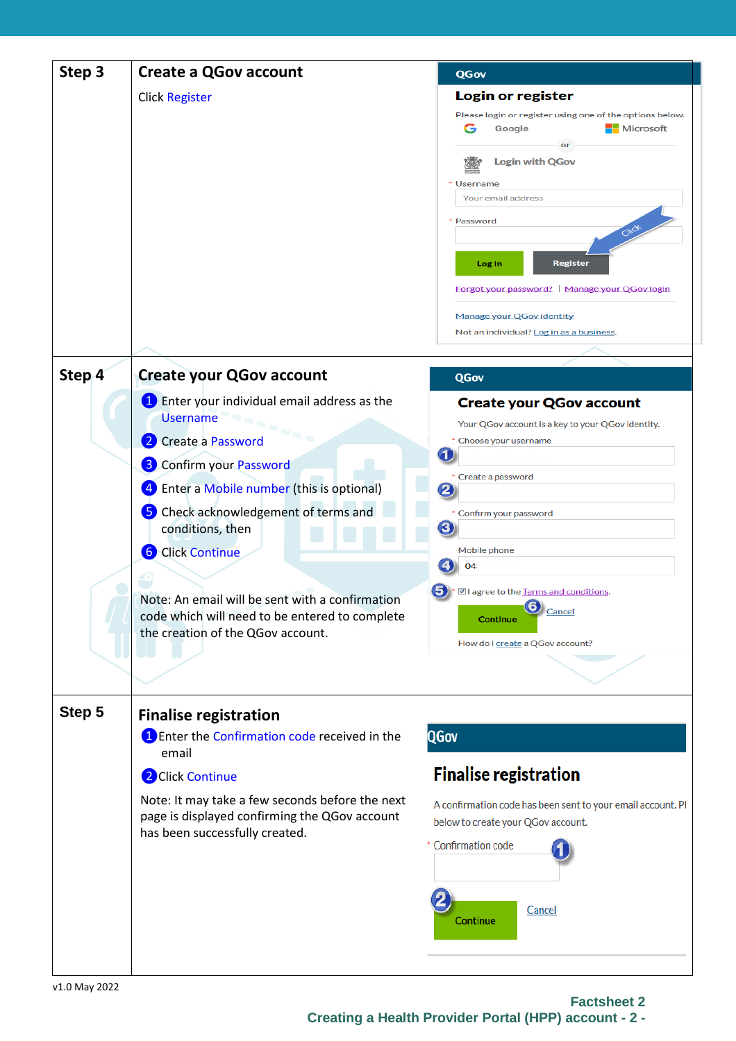| Step 3 | <b>Create a QGov account</b>                                                                                                           | QGov                                                                                 |
|--------|----------------------------------------------------------------------------------------------------------------------------------------|--------------------------------------------------------------------------------------|
|        | <b>Click Register</b>                                                                                                                  | Login or register                                                                    |
|        |                                                                                                                                        | Please login or register using one of the options below.<br>Microsoft<br>G<br>Google |
|        |                                                                                                                                        | or<br><b>Login with QGov</b>                                                         |
|        |                                                                                                                                        | * Username                                                                           |
|        |                                                                                                                                        | Your email address                                                                   |
|        |                                                                                                                                        | * Password                                                                           |
|        |                                                                                                                                        | <b>Register</b><br>Log in                                                            |
|        |                                                                                                                                        | Forgot your password? Manage your QGov login                                         |
|        |                                                                                                                                        | <b>Manage your QGov identity</b>                                                     |
|        |                                                                                                                                        | Not an individual? Log in as a business.                                             |
|        |                                                                                                                                        |                                                                                      |
| Step 4 | <b>Create your QGov account</b>                                                                                                        | QGov                                                                                 |
|        | Enter your individual email address as the<br>$\mathbf{1}$<br><b>Username</b>                                                          | <b>Create your QGov account</b>                                                      |
|        | ۰<br>$\sim$ $_{\odot}$                                                                                                                 | Your QGov account is a key to your QGov identity.<br>Choose your username            |
|        | Create a Password                                                                                                                      |                                                                                      |
|        | <b>3</b> Confirm your Password                                                                                                         | * Create a password                                                                  |
|        | Enter a Mobile number (this is optional)<br>4                                                                                          |                                                                                      |
|        | Check acknowledgement of terms and<br>5)<br>conditions, then                                                                           | Confirm your password<br>3.                                                          |
|        | <b>6</b> Click Continue                                                                                                                | Mobile phone                                                                         |
|        |                                                                                                                                        | 04                                                                                   |
|        | Note: An email will be sent with a confirmation<br>code which will need to be entered to complete<br>the creation of the QGov account. | ■ I agree to the Terms and conditions.<br><sup>6</sup> Cancel<br>Continue            |
|        |                                                                                                                                        | How do I create a QGov account?                                                      |
|        |                                                                                                                                        |                                                                                      |
| Step 5 | <b>Finalise registration</b>                                                                                                           |                                                                                      |
|        | 1 Enter the Confirmation code received in the<br>email                                                                                 | <b>QGov</b>                                                                          |
|        | 2 Click Continue                                                                                                                       | <b>Finalise registration</b>                                                         |
|        | Note: It may take a few seconds before the next                                                                                        | A confirmation code has been sent to your email account. PI                          |
|        | page is displayed confirming the QGov account<br>has been successfully created.                                                        | below to create your QGov account.                                                   |
|        |                                                                                                                                        | * Confirmation code                                                                  |
|        |                                                                                                                                        | Cancel<br>Continue                                                                   |
|        |                                                                                                                                        |                                                                                      |

**Factsheet 2 Creating a Health Provider Portal (HPP) account - 2 -**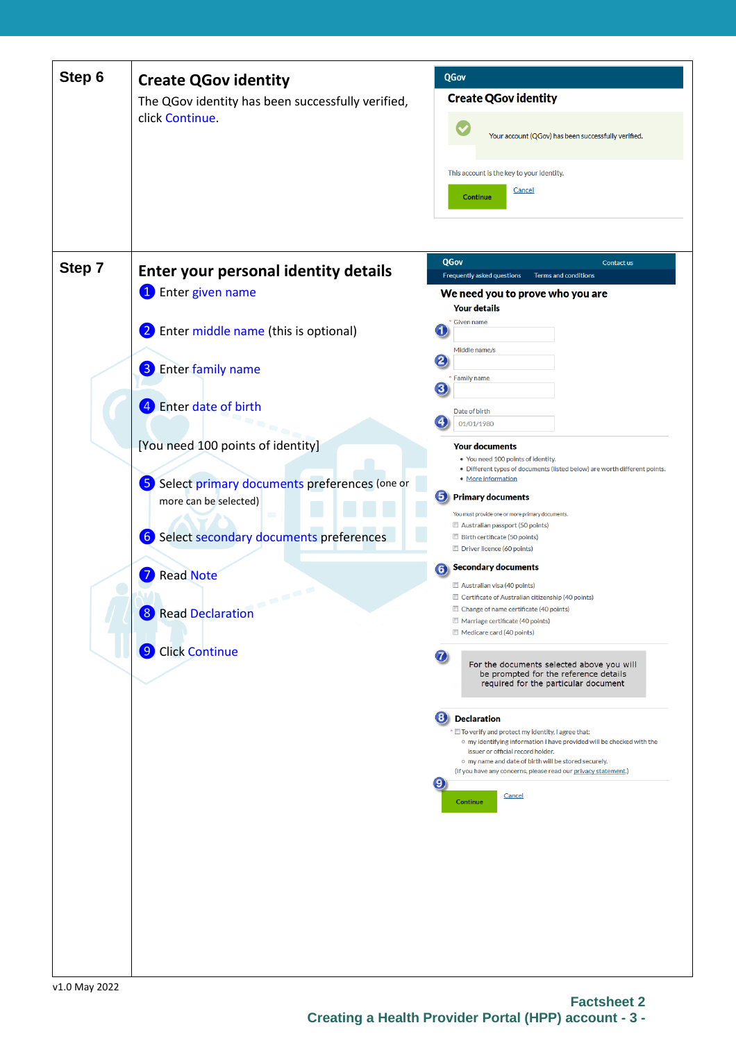| Step 6        | <b>Create QGov identity</b><br>The QGov identity has been successfully verified,<br>click Continue.                                                                                                                                                                                                                                                                                                                    | QGov<br><b>Create QGov identity</b><br>Your account (QGov) has been successfully verified.<br>This account is the key to your identity.<br>Cancel<br>Continue                                                                                                                                                                                                                                                                                                                                                                                                                                                                                                                                                                                                                                                                                                                                                                                                                                                                                                                                                                                                                                                                                                                            |
|---------------|------------------------------------------------------------------------------------------------------------------------------------------------------------------------------------------------------------------------------------------------------------------------------------------------------------------------------------------------------------------------------------------------------------------------|------------------------------------------------------------------------------------------------------------------------------------------------------------------------------------------------------------------------------------------------------------------------------------------------------------------------------------------------------------------------------------------------------------------------------------------------------------------------------------------------------------------------------------------------------------------------------------------------------------------------------------------------------------------------------------------------------------------------------------------------------------------------------------------------------------------------------------------------------------------------------------------------------------------------------------------------------------------------------------------------------------------------------------------------------------------------------------------------------------------------------------------------------------------------------------------------------------------------------------------------------------------------------------------|
| Step 7        | Enter your personal identity details<br><b>1</b> Enter given name<br>2 Enter middle name (this is optional)<br><b>8</b> Enter family name<br>4 Enter date of birth<br>[You need 100 points of identity]<br>5 Select primary documents preferences (one or<br>more can be selected)<br>6 Select secondary documents preferences<br><b>Read Note</b><br><b>CONTRACT</b><br>8 Read Declaration<br><b>9</b> Click Continue | QGov<br>Contact us<br>Frequently asked questions<br>Terms and conditions<br>We need you to prove who you are<br><b>Your details</b><br>* Given name<br>1<br>Middle name/s<br>2,<br>* Family name<br>3<br>Date of birth<br>01/01/1980<br><b>Your documents</b><br>. You need 100 points of identity.<br>• Different types of documents (listed below) are worth different points.<br>• More information<br>5.<br><b>Primary documents</b><br>You must provide one or more primary documents.<br>Australian passport (50 points)<br>Birth certificate (50 points)<br>Driver licence (60 points)<br><b>Secondary documents</b><br>6<br>Australian visa (40 points)<br>Certificate of Australian citizenship (40 points)<br>Change of name certificate (40 points)<br>Marriage certificate (40 points)<br>Medicare card (40 points)<br>For the documents selected above you will<br>be prompted for the reference details<br>required for the particular document<br>3<br><b>Declaration</b><br>* I To verify and protect my identity, I agree that:<br>o my identifying information I have provided will be checked with the<br>issuer or official record holder.<br>o my name and date of birth will be stored securely.<br>(If you have any concerns, please read our privacy statement.) |
| v1 0 May 2022 |                                                                                                                                                                                                                                                                                                                                                                                                                        | $\left( \mathbf{e}\right)$<br>Cancel<br><b>Continue</b>                                                                                                                                                                                                                                                                                                                                                                                                                                                                                                                                                                                                                                                                                                                                                                                                                                                                                                                                                                                                                                                                                                                                                                                                                                  |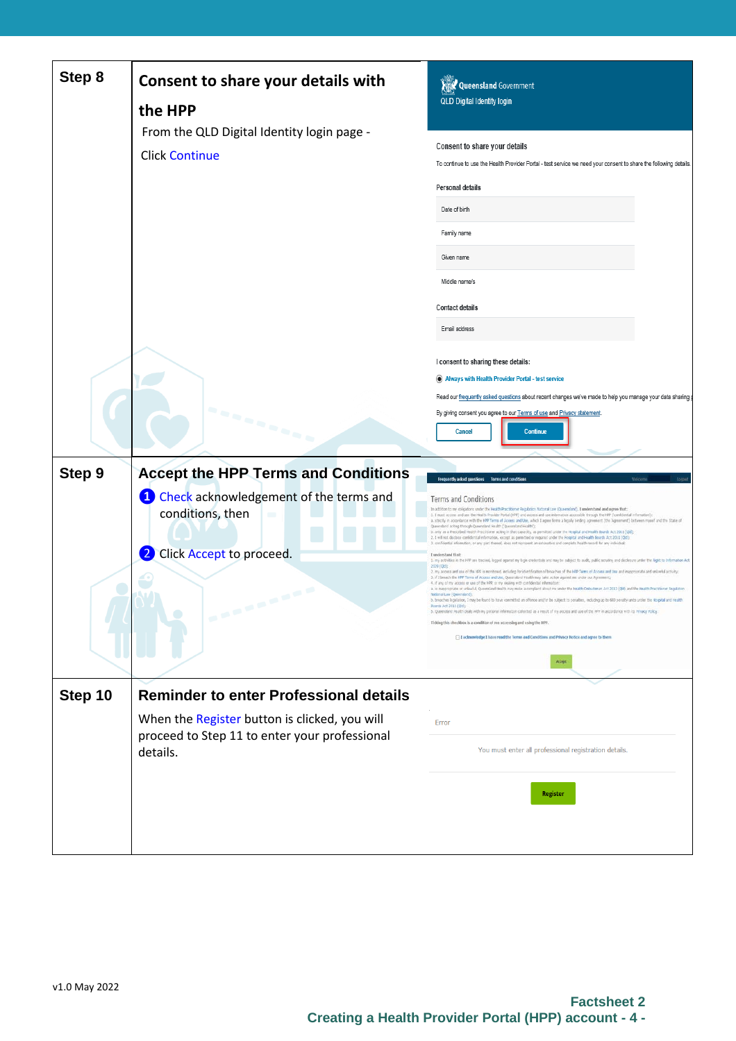| Step 8  | Consent to share your details with<br>the HPP                           | <b>XEX Queensland</b> Government<br>QLD Digital Identity login                                                                                                                                                                                                                                                                                                                                                                                                                                                                                                                                                                                                                                                                                                                                                                         |
|---------|-------------------------------------------------------------------------|----------------------------------------------------------------------------------------------------------------------------------------------------------------------------------------------------------------------------------------------------------------------------------------------------------------------------------------------------------------------------------------------------------------------------------------------------------------------------------------------------------------------------------------------------------------------------------------------------------------------------------------------------------------------------------------------------------------------------------------------------------------------------------------------------------------------------------------|
|         | From the QLD Digital Identity login page -                              |                                                                                                                                                                                                                                                                                                                                                                                                                                                                                                                                                                                                                                                                                                                                                                                                                                        |
|         | <b>Click Continue</b>                                                   | Consent to share your details<br>To continue to use the Health Provider Portal - test service we need your consent to share the following details.                                                                                                                                                                                                                                                                                                                                                                                                                                                                                                                                                                                                                                                                                     |
|         |                                                                         | <b>Personal details</b>                                                                                                                                                                                                                                                                                                                                                                                                                                                                                                                                                                                                                                                                                                                                                                                                                |
|         |                                                                         | Date of birth                                                                                                                                                                                                                                                                                                                                                                                                                                                                                                                                                                                                                                                                                                                                                                                                                          |
|         |                                                                         | Family name                                                                                                                                                                                                                                                                                                                                                                                                                                                                                                                                                                                                                                                                                                                                                                                                                            |
|         |                                                                         | Given name                                                                                                                                                                                                                                                                                                                                                                                                                                                                                                                                                                                                                                                                                                                                                                                                                             |
|         |                                                                         | Middle name/s                                                                                                                                                                                                                                                                                                                                                                                                                                                                                                                                                                                                                                                                                                                                                                                                                          |
|         |                                                                         | <b>Contact details</b>                                                                                                                                                                                                                                                                                                                                                                                                                                                                                                                                                                                                                                                                                                                                                                                                                 |
|         |                                                                         | Email address                                                                                                                                                                                                                                                                                                                                                                                                                                                                                                                                                                                                                                                                                                                                                                                                                          |
|         |                                                                         | I consent to sharing these details:                                                                                                                                                                                                                                                                                                                                                                                                                                                                                                                                                                                                                                                                                                                                                                                                    |
|         |                                                                         | Always with Health Provider Portal - test service                                                                                                                                                                                                                                                                                                                                                                                                                                                                                                                                                                                                                                                                                                                                                                                      |
|         |                                                                         | Read our frequently asked questions about recent changes we've made to help you manage your data sharing (                                                                                                                                                                                                                                                                                                                                                                                                                                                                                                                                                                                                                                                                                                                             |
|         |                                                                         | By giving consent you agree to our Terms of use and Privacy statement.                                                                                                                                                                                                                                                                                                                                                                                                                                                                                                                                                                                                                                                                                                                                                                 |
|         | in na marangan                                                          | <b>Continue</b><br>Cancel                                                                                                                                                                                                                                                                                                                                                                                                                                                                                                                                                                                                                                                                                                                                                                                                              |
| Step 9  | <b>Accept the HPP Terms and Conditions</b>                              | Frequently asked questions Terms and condition                                                                                                                                                                                                                                                                                                                                                                                                                                                                                                                                                                                                                                                                                                                                                                                         |
|         | <sup>1</sup> Check acknowledgement of the terms and<br>conditions, then | Terms and Conditions<br>In addition to my obigations under the Health Practitioner Regulation National Law (Queensland). I understand and agree that:<br>1. I must access and use the Health Provider Portal (HPP) and access and use information accessble through the HPP ("confidential information"):<br>a. strictly in accordance with the HPP Terms of Access and Use, which I agree forms a ligally binding agreement (the 'Agreement') between myself and the State of<br>Queensland acting through Queensland Health (Queensland Health');<br>b. only as a Prescribed Health Practitioner acting in that capacity, as permitted under the Hospital and Health Boards Act 2011 (Qkf);<br>2. 1 will not disclose confidential information, except as permitted or required under the Rospital and Health Boards Act 2011 (QBI); |
|         | $\mathbf{2}$<br>Click Accept to proceed.                                | 3. confidential information, or any part thereof, does not represent an exhaustive and complete health record for any individual;<br>I understand that:<br>1. my activities in the HPP are tracked, logged against my login credentials and may be subject to audit, public scrutiny and decleraint under the Right to Information Act                                                                                                                                                                                                                                                                                                                                                                                                                                                                                                 |
|         |                                                                         | 2009 (Qkd);<br>2. my access and use of the HPP is monitored, including for identification of breaches of the HPP Terms of Access and Use and imagerapriate and unlawful activity:<br>3. If I breach the HPP Terms of Access and Use, Queensland Health may take action against me under our Agreement;<br>4. if any of my access or use of the HPP, or my dealing with confidential information<br>a. is inappropriate or unlawfull, Queensland Health may make a complaint about the Health Onbudsman Act 2013 (QM) and the Health Practitioner Regulation                                                                                                                                                                                                                                                                            |
|         | <b><i>COMMERCIAL</i></b>                                                | National Law (Queensland)<br>b. breaches legislation, I may be found to have committed an offence and/or be subject to penalties, including up to 600 penalty units under the Hospital and Health<br>Boards Act 2011 (Old)                                                                                                                                                                                                                                                                                                                                                                                                                                                                                                                                                                                                             |
|         |                                                                         | 5. Queensland Health deals with my personal information collected as a result of my access and use of the HPP in accordance with its Privacy Policy                                                                                                                                                                                                                                                                                                                                                                                                                                                                                                                                                                                                                                                                                    |
|         |                                                                         | Ticking this checkbox is a condition of me accessing and using the HPP                                                                                                                                                                                                                                                                                                                                                                                                                                                                                                                                                                                                                                                                                                                                                                 |
|         |                                                                         | I acknowledge I have read the Terms and Conditions and Privacy Notice and agree to then                                                                                                                                                                                                                                                                                                                                                                                                                                                                                                                                                                                                                                                                                                                                                |
|         |                                                                         | Accept                                                                                                                                                                                                                                                                                                                                                                                                                                                                                                                                                                                                                                                                                                                                                                                                                                 |
|         |                                                                         |                                                                                                                                                                                                                                                                                                                                                                                                                                                                                                                                                                                                                                                                                                                                                                                                                                        |
| Step 10 | <b>Reminder to enter Professional details</b>                           |                                                                                                                                                                                                                                                                                                                                                                                                                                                                                                                                                                                                                                                                                                                                                                                                                                        |
|         | When the Register button is clicked, you will                           | Error                                                                                                                                                                                                                                                                                                                                                                                                                                                                                                                                                                                                                                                                                                                                                                                                                                  |
|         | proceed to Step 11 to enter your professional<br>details.               | You must enter all professional registration details.                                                                                                                                                                                                                                                                                                                                                                                                                                                                                                                                                                                                                                                                                                                                                                                  |
|         |                                                                         | <b>Register</b>                                                                                                                                                                                                                                                                                                                                                                                                                                                                                                                                                                                                                                                                                                                                                                                                                        |
|         |                                                                         |                                                                                                                                                                                                                                                                                                                                                                                                                                                                                                                                                                                                                                                                                                                                                                                                                                        |